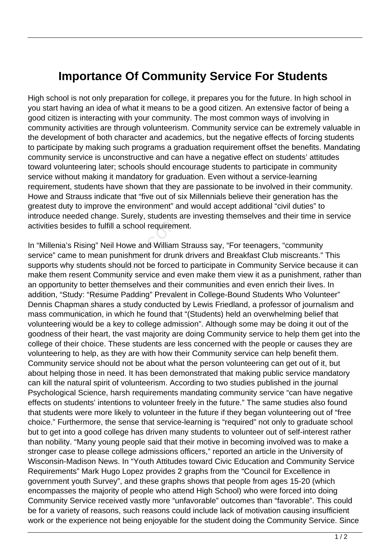## **Importance Of Community Service For Students**

High school is not only preparation for college, it prepares you for the future. In high school in you start having an idea of what it means to be a good citizen. An extensive factor of being a good citizen is interacting with your community. The most common ways of involving in community activities are through volunteerism. Community service can be extremely valuable in the development of both character and academics, but the negative effects of forcing students to participate by making such programs a graduation requirement offset the benefits. Mandating community service is unconstructive and can have a negative effect on students' attitudes toward volunteering later; schools should encourage students to participate in community service without making it mandatory for graduation. Even without a service-learning requirement, students have shown that they are passionate to be involved in their community. Howe and Strauss indicate that "five out of six Millennials believe their generation has the greatest duty to improve the environment" and would accept additional "civil duties" to introduce needed change. Surely, students are investing themselves and their time in service activities besides to fulfill a school requirement.

In "Millenia's Rising" Neil Howe and William Strauss say, "For teenagers, "community service" came to mean punishment for drunk drivers and Breakfast Club miscreants." This supports why students should not be forced to participate in Community Service because it can make them resent Community service and even make them view it as a punishment, rather than an opportunity to better themselves and their communities and even enrich their lives. In addition, "Study: "Resume Padding" Prevalent in College-Bound Students Who Volunteer" Dennis Chapman shares a study conducted by Lewis Friedland, a professor of journalism and mass communication, in which he found that "(Students) held an overwhelming belief that volunteering would be a key to college admission". Although some may be doing it out of the goodness of their heart, the vast majority are doing Community service to help them get into the college of their choice. These students are less concerned with the people or causes they are volunteering to help, as they are with how their Community service can help benefit them. Community service should not be about what the person volunteering can get out of it, but about helping those in need. It has been demonstrated that making public service mandatory can kill the natural spirit of volunteerism. According to two studies published in the journal Psychological Science, harsh requirements mandating community service "can have negative effects on students' intentions to volunteer freely in the future." The same studies also found that students were more likely to volunteer in the future if they began volunteering out of "free choice." Furthermore, the sense that service-learning is "required" not only to graduate school but to get into a good college has driven many students to volunteer out of self-interest rather than nobility. "Many young people said that their motive in becoming involved was to make a stronger case to please college admissions officers," reported an article in the University of Wisconsin-Madison News. In "Youth Attitudes toward Civic Education and Community Service Requirements" Mark Hugo Lopez provides 2 graphs from the "Council for Excellence in government youth Survey", and these graphs shows that people from ages 15-20 (which encompasses the majority of people who attend High School) who were forced into doing Community Service received vastly more "unfavorable" outcomes than "favorable". This could be for a variety of reasons, such reasons could include lack of motivation causing insufficient work or the experience not being enjoyable for the student doing the Community Service. Since esides to fulfill a school requirements<br>a's Rising" Neil Howe and William<br>ame to mean punishment for drunk<br>thy students should not be forced<br>in resent Community service and e<br>inity to better themselves and thei<br>Study: "Res